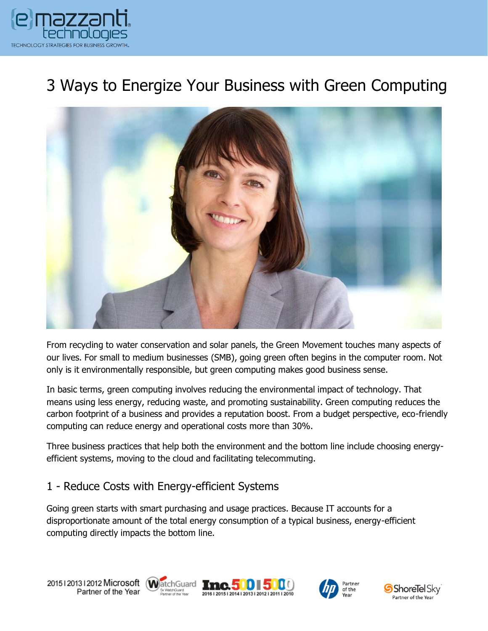

# 3 Ways to Energize Your Business with Green Computing



From recycling to water conservation and solar panels, the Green Movement touches many aspects of our lives. For small to medium businesses (SMB), going green often begins in the computer room. Not only is it environmentally responsible, but green computing makes good business sense.

In basic terms, green computing involves reducing the environmental impact of technology. That means using less energy, reducing waste, and promoting sustainability. Green computing reduces the carbon footprint of a business and provides a reputation boost. From a budget perspective, eco-friendly computing can reduce energy and operational costs more than 30%.

Three business practices that help both the environment and the bottom line include choosing energyefficient systems, moving to the cloud and facilitating telecommuting.

#### 1 - Reduce Costs with Energy-efficient Systems

Going green starts with smart purchasing and usage practices. Because IT accounts for a disproportionate amount of the total energy consumption of a typical business, energy-efficient computing directly impacts the bottom line.









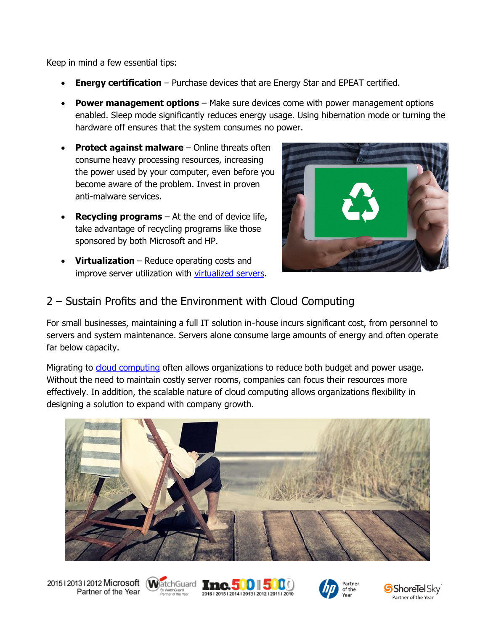Keep in mind a few essential tips:

- **Energy certification** Purchase devices that are Energy Star and EPEAT certified.
- **Power management options** Make sure devices come with power management options enabled. Sleep mode significantly reduces energy usage. Using hibernation mode or turning the hardware off ensures that the system consumes no power.
- **Protect against malware** Online threats often consume heavy processing resources, increasing the power used by your computer, even before you become aware of the problem. Invest in proven anti-malware services.
- **Recycling programs**  At the end of device life, take advantage of recycling programs like those sponsored by both Microsoft and HP.
- **Virtualization**  Reduce operating costs and improve server utilization with [virtualized servers.](https://www.emazzanti.net/how-can-virtualization-save-your-business/)



#### 2 – Sustain Profits and the Environment with Cloud Computing

For small businesses, maintaining a full IT solution in-house incurs significant cost, from personnel to servers and system maintenance. Servers alone consume large amounts of energy and often operate far below capacity.

Migrating to [cloud computing](https://www.emazzanti.net/services/cloud-services/) often allows organizations to reduce both budget and power usage. Without the need to maintain costly server rooms, companies can focus their resources more effectively. In addition, the scalable nature of cloud computing allows organizations flexibility in designing a solution to expand with company growth.